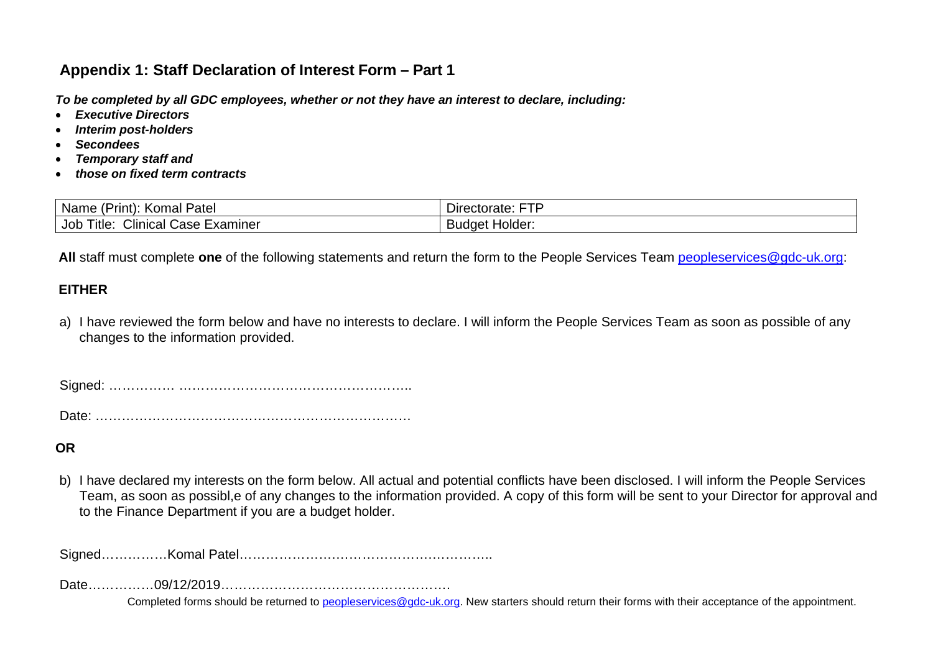# **Appendix 1: Staff Declaration of Interest Form – Part 1**

*To be completed by all GDC employees, whether or not they have an interest to declare, including:* 

- *Executive Directors*
- *Interim post-holders*
- *Secondees*
- *Temporary staff and*
- *those on fixed term contracts*

| -<br>Patel<br>Name<br>Komal<br>'rınt,                                 | ctc<br>actorate.<br>Directorate:<br>-- |
|-----------------------------------------------------------------------|----------------------------------------|
| $\sim$ $\sim$<br>Title.<br>Job<br>Examiner<br>′ linicalسالت<br>Uase ⊦ | Budget Holder:                         |

All staff must complete one of the following statements and return the form to the People Services Team [peopleservices@gdc-uk.org:](mailto:peopleservices@gdc-uk.org)

## **EITHER**

a) I have reviewed the form below and have no interests to declare. I will inform the People Services Team as soon as possible of any changes to the information provided.

Signed: …………… ……………………………………………..

Date: ………………………………………………………………

#### **OR**

b) I have declared my interests on the form below. All actual and potential conflicts have been disclosed. I will inform the People Services Team, as soon as possibl,e of any changes to the information provided. A copy of this form will be sent to your Director for approval and to the Finance Department if you are a budget holder.

Signed……………Komal Patel………………….………………….…………..

Date……………09/12/2019…………………………………………….

Completed forms should be returned to [peopleservices@gdc-uk.org.](mailto:peopleservices@gdc-uk.org) New starters should return their forms with their acceptance of the appointment.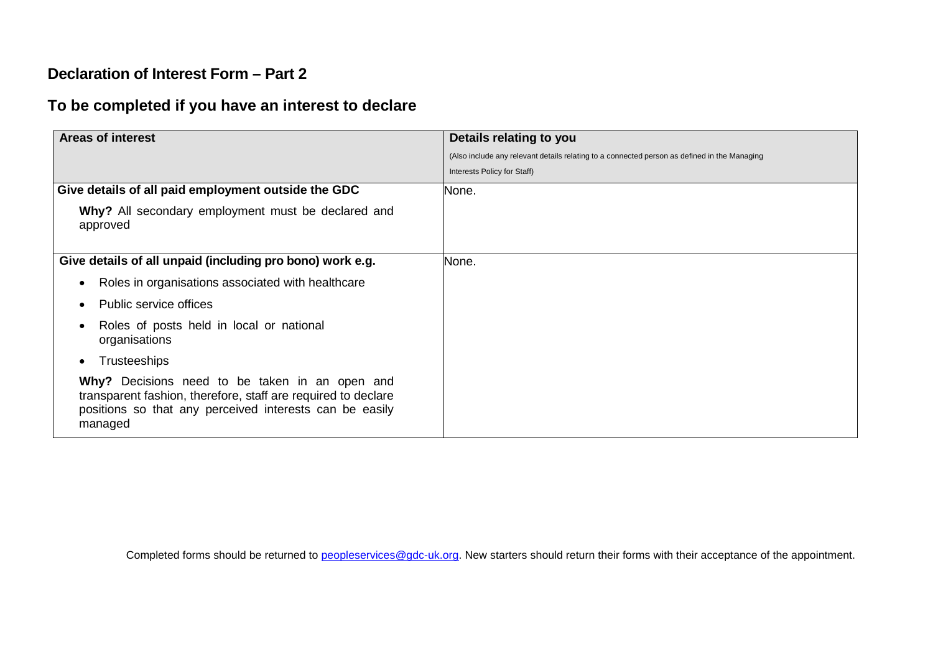## **Declaration of Interest Form – Part 2**

# **To be completed if you have an interest to declare**

| <b>Areas of interest</b>                                                                                                                                                              | Details relating to you                                                                      |
|---------------------------------------------------------------------------------------------------------------------------------------------------------------------------------------|----------------------------------------------------------------------------------------------|
|                                                                                                                                                                                       | (Also include any relevant details relating to a connected person as defined in the Managing |
|                                                                                                                                                                                       | Interests Policy for Staff)                                                                  |
| Give details of all paid employment outside the GDC                                                                                                                                   | None.                                                                                        |
| Why? All secondary employment must be declared and<br>approved                                                                                                                        |                                                                                              |
| Give details of all unpaid (including pro bono) work e.g.                                                                                                                             | None.                                                                                        |
| Roles in organisations associated with healthcare<br>$\bullet$                                                                                                                        |                                                                                              |
| Public service offices                                                                                                                                                                |                                                                                              |
| Roles of posts held in local or national<br>organisations                                                                                                                             |                                                                                              |
| <b>Trusteeships</b>                                                                                                                                                                   |                                                                                              |
| Why? Decisions need to be taken in an open and<br>transparent fashion, therefore, staff are required to declare<br>positions so that any perceived interests can be easily<br>managed |                                                                                              |

Completed forms should be returned to [peopleservices@gdc-uk.org.](mailto:peopleservices@gdc-uk.org) New starters should return their forms with their acceptance of the appointment.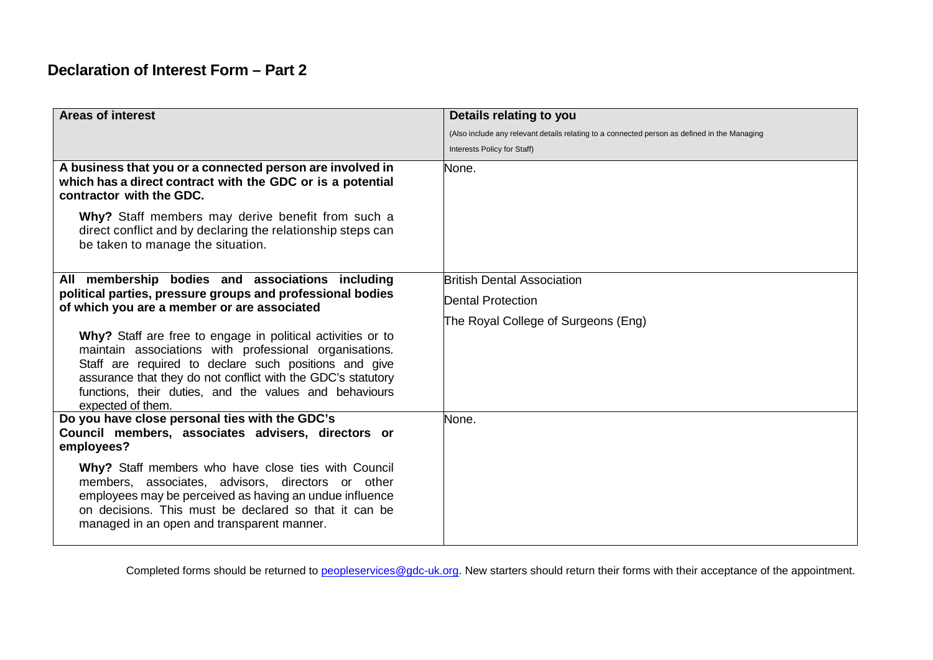# **Declaration of Interest Form – Part 2**

| <b>Areas of interest</b>                                                                                                                                                                                                                                                                                                      | Details relating to you                                                                      |
|-------------------------------------------------------------------------------------------------------------------------------------------------------------------------------------------------------------------------------------------------------------------------------------------------------------------------------|----------------------------------------------------------------------------------------------|
|                                                                                                                                                                                                                                                                                                                               | (Also include any relevant details relating to a connected person as defined in the Managing |
|                                                                                                                                                                                                                                                                                                                               | Interests Policy for Staff)                                                                  |
| A business that you or a connected person are involved in<br>which has a direct contract with the GDC or is a potential<br>contractor with the GDC.                                                                                                                                                                           | None.                                                                                        |
| Why? Staff members may derive benefit from such a<br>direct conflict and by declaring the relationship steps can<br>be taken to manage the situation.                                                                                                                                                                         |                                                                                              |
| All membership bodies and associations including<br>political parties, pressure groups and professional bodies<br>of which you are a member or are associated                                                                                                                                                                 | <b>British Dental Association</b>                                                            |
|                                                                                                                                                                                                                                                                                                                               | <b>Dental Protection</b>                                                                     |
|                                                                                                                                                                                                                                                                                                                               | The Royal College of Surgeons (Eng)                                                          |
| Why? Staff are free to engage in political activities or to<br>maintain associations with professional organisations.<br>Staff are required to declare such positions and give<br>assurance that they do not conflict with the GDC's statutory<br>functions, their duties, and the values and behaviours<br>expected of them. |                                                                                              |
| Do you have close personal ties with the GDC's<br>Council members, associates advisers, directors or<br>employees?                                                                                                                                                                                                            | None.                                                                                        |
| Why? Staff members who have close ties with Council<br>members, associates, advisors, directors or other<br>employees may be perceived as having an undue influence<br>on decisions. This must be declared so that it can be<br>managed in an open and transparent manner.                                                    |                                                                                              |

Completed forms should be returned to [peopleservices@gdc-uk.org.](mailto:peopleservices@gdc-uk.org) New starters should return their forms with their acceptance of the appointment.